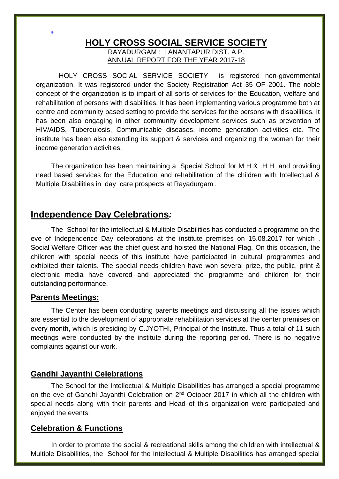#### **HOLY CROSS SOCIAL SERVICE SOCIETY** RAYADURGAM : : ANANTAPUR DIST. A.P.

ANNUAL REPORT FOR THE YEAR 2017-18

 HOLY CROSS SOCIAL SERVICE SOCIETY is registered non-governmental organization. It was registered under the Society Registration Act 35 OF 2001. The noble concept of the organization is to impart of all sorts of services for the Education, welfare and rehabilitation of persons with disabilities. It has been implementing various programme both at centre and community based setting to provide the services for the persons with disabilities. It has been also engaging in other community development services such as prevention of HIV/AIDS, Tuberculosis, Communicable diseases, income generation activities etc. The institute has been also extending its support & services and organizing the women for their income generation activities.

The organization has been maintaining a Special School for M H & H H and providing need based services for the Education and rehabilitation of the children with Intellectual & Multiple Disabilities in day care prospects at Rayadurgam .

# **Independence Day Celebrations***:*

The School for the intellectual & Multiple Disabilities has conducted a programme on the eve of Independence Day celebrations at the institute premises on 15.08.2017 for which , Social Welfare Officer was the chief guest and hoisted the National Flag. On this occasion, the children with special needs of this institute have participated in cultural programmes and exhibited their talents. The special needs children have won several prize, the public, print & electronic media have covered and appreciated the programme and children for their outstanding performance.

#### **Parents Meetings:**

ADI

The Center has been conducting parents meetings and discussing all the issues which are essential to the development of appropriate rehabilitation services at the center premises on every month, which is presiding by C.JYOTHI, Principal of the Institute. Thus a total of 11 such meetings were conducted by the institute during the reporting period. There is no negative complaints against our work.

### **Gandhi Jayanthi Celebrations**

The School for the Intellectual & Multiple Disabilities has arranged a special programme on the eve of Gandhi Jayanthi Celebration on 2<sup>nd</sup> October 2017 in which all the children with special needs along with their parents and Head of this organization were participated and enjoyed the events.

### **Celebration & Functions**

In order to promote the social & recreational skills among the children with intellectual & Multiple Disabilities, the School for the Intellectual & Multiple Disabilities has arranged special